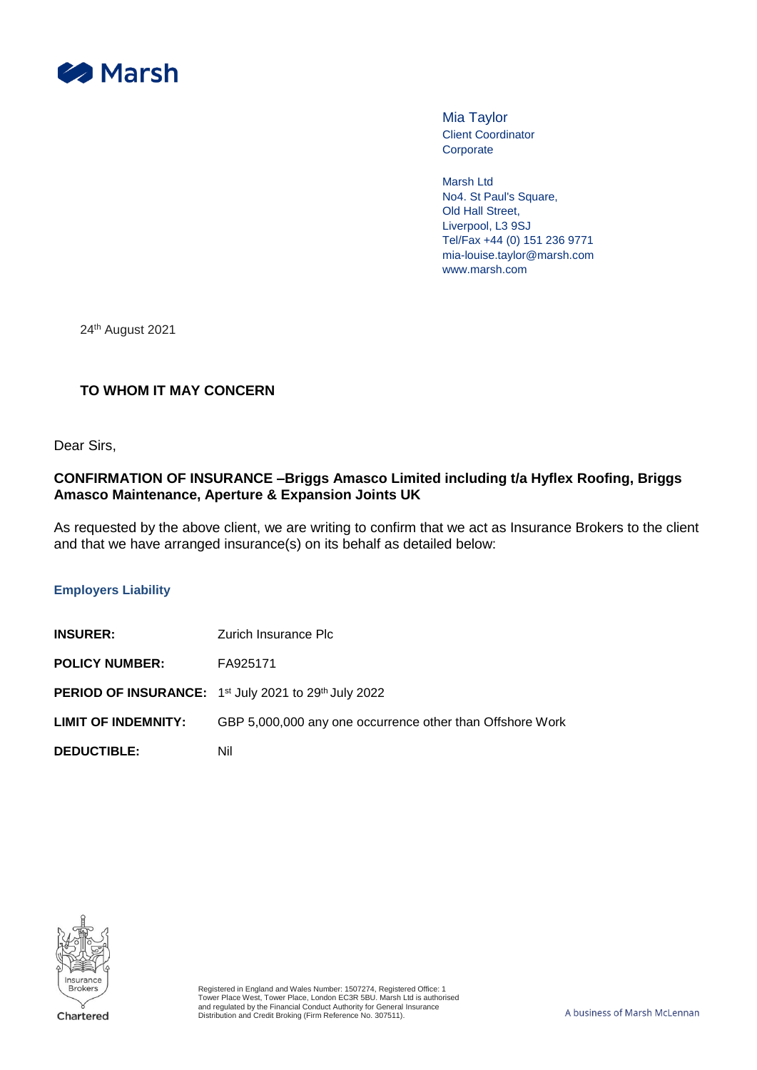

Mia Taylor Client Coordinator **Corporate** 

Marsh Ltd No4. St Paul's Square, Old Hall Street, Liverpool, L3 9SJ Tel/Fax +44 (0) 151 236 9771 mia-louise.taylor@marsh.com www.marsh.com

24th August 2021

# **TO WHOM IT MAY CONCERN**

Dear Sirs,

## **CONFIRMATION OF INSURANCE –Briggs Amasco Limited including t/a Hyflex Roofing, Briggs Amasco Maintenance, Aperture & Expansion Joints UK**

As requested by the above client, we are writing to confirm that we act as Insurance Brokers to the client and that we have arranged insurance(s) on its behalf as detailed below:

#### **Employers Liability**

| <b>INSURER:</b>            | Zurich Insurance Plc                                                                |
|----------------------------|-------------------------------------------------------------------------------------|
| <b>POLICY NUMBER:</b>      | FA925171                                                                            |
|                            | <b>PERIOD OF INSURANCE:</b> 1 <sup>st</sup> July 2021 to 29 <sup>th</sup> July 2022 |
| <b>LIMIT OF INDEMNITY:</b> | GBP 5,000,000 any one occurrence other than Offshore Work                           |
| <b>DEDUCTIBLE:</b>         | Nil                                                                                 |

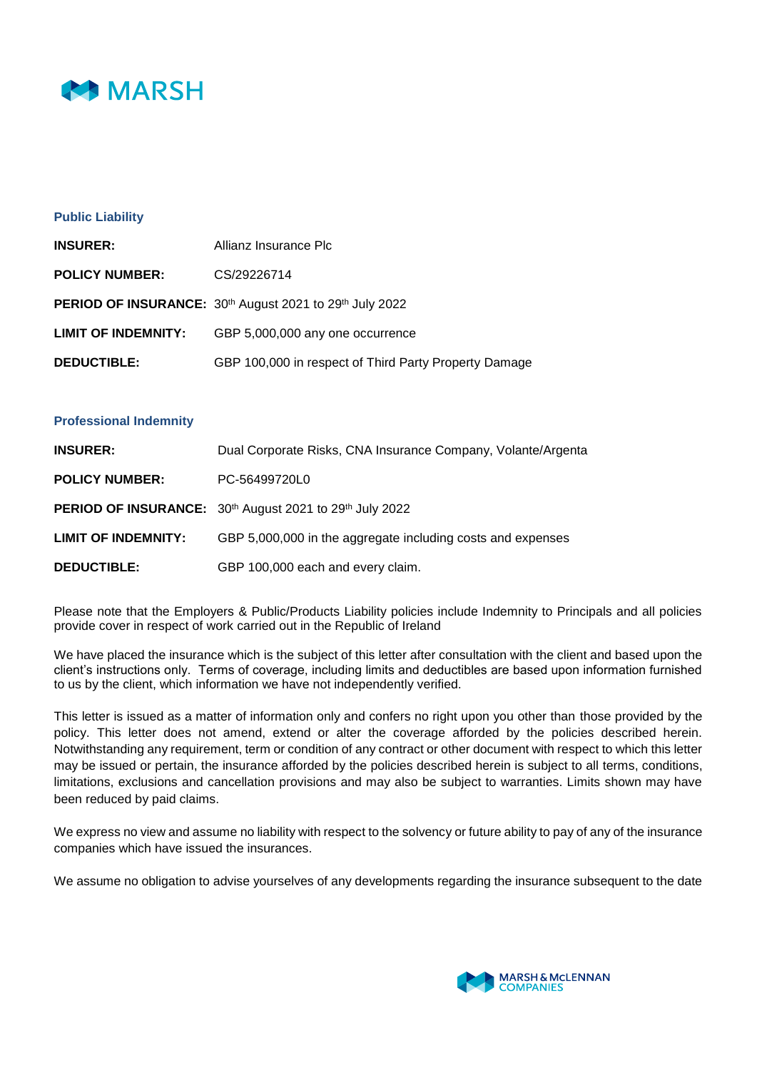

### **Public Liability**

| <b>INSURER:</b>            | Allianz Insurance Plc                                                                  |
|----------------------------|----------------------------------------------------------------------------------------|
| <b>POLICY NUMBER:</b>      | CS/29226714                                                                            |
|                            | <b>PERIOD OF INSURANCE:</b> 30 <sup>th</sup> August 2021 to 29 <sup>th</sup> July 2022 |
| <b>LIMIT OF INDEMNITY:</b> | GBP 5,000,000 any one occurrence                                                       |
| <b>DEDUCTIBLE:</b>         | GBP 100,000 in respect of Third Party Property Damage                                  |

#### **Professional Indemnity**

| <b>INSURER:</b>            | Dual Corporate Risks, CNA Insurance Company, Volante/Argenta |
|----------------------------|--------------------------------------------------------------|
| <b>POLICY NUMBER:</b>      | PC-56499720L0                                                |
|                            | PERIOD OF INSURANCE: 30th August 2021 to 29th July 2022      |
| <b>LIMIT OF INDEMNITY:</b> | GBP 5,000,000 in the aggregate including costs and expenses  |
| <b>DEDUCTIBLE:</b>         | GBP 100,000 each and every claim.                            |

Please note that the Employers & Public/Products Liability policies include Indemnity to Principals and all policies provide cover in respect of work carried out in the Republic of Ireland

We have placed the insurance which is the subject of this letter after consultation with the client and based upon the client's instructions only. Terms of coverage, including limits and deductibles are based upon information furnished to us by the client, which information we have not independently verified.

This letter is issued as a matter of information only and confers no right upon you other than those provided by the policy. This letter does not amend, extend or alter the coverage afforded by the policies described herein. Notwithstanding any requirement, term or condition of any contract or other document with respect to which this letter may be issued or pertain, the insurance afforded by the policies described herein is subject to all terms, conditions, limitations, exclusions and cancellation provisions and may also be subject to warranties. Limits shown may have been reduced by paid claims.

We express no view and assume no liability with respect to the solvency or future ability to pay of any of the insurance companies which have issued the insurances.

We assume no obligation to advise yourselves of any developments regarding the insurance subsequent to the date